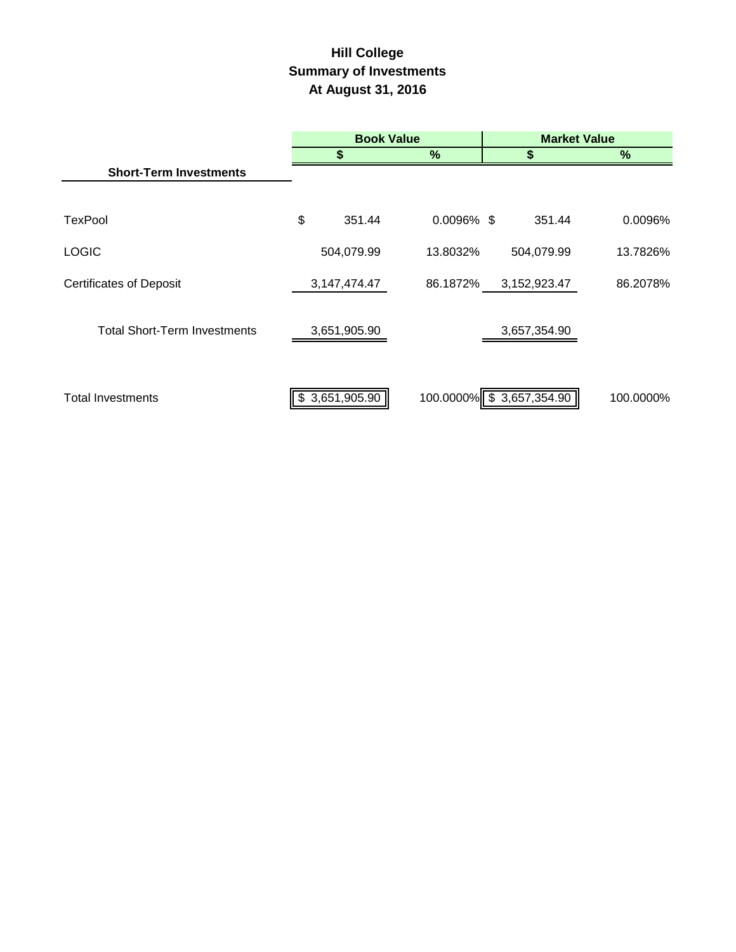# **Hill College Summary of Investments At August 31, 2016**

|                                     | <b>Book Value</b> |            |                          | <b>Market Value</b> |               |  |  |
|-------------------------------------|-------------------|------------|--------------------------|---------------------|---------------|--|--|
|                                     | \$                |            | %                        |                     | $\frac{9}{6}$ |  |  |
| <b>Short-Term Investments</b>       |                   |            |                          |                     |               |  |  |
|                                     |                   |            |                          |                     |               |  |  |
| <b>TexPool</b>                      | \$                | 351.44     | $0.0096\%$ \$            | 351.44              | 0.0096%       |  |  |
| <b>LOGIC</b>                        |                   | 504,079.99 | 13.8032%                 | 504,079.99          | 13.7826%      |  |  |
| <b>Certificates of Deposit</b>      | 3, 147, 474. 47   |            | 86.1872%                 | 3,152,923.47        | 86.2078%      |  |  |
| <b>Total Short-Term Investments</b> | 3,651,905.90      |            |                          | 3,657,354.90        |               |  |  |
| <b>Total Investments</b>            | \$3,651,905.90    |            | 100.0000% \$3,657,354.90 |                     | 100.0000%     |  |  |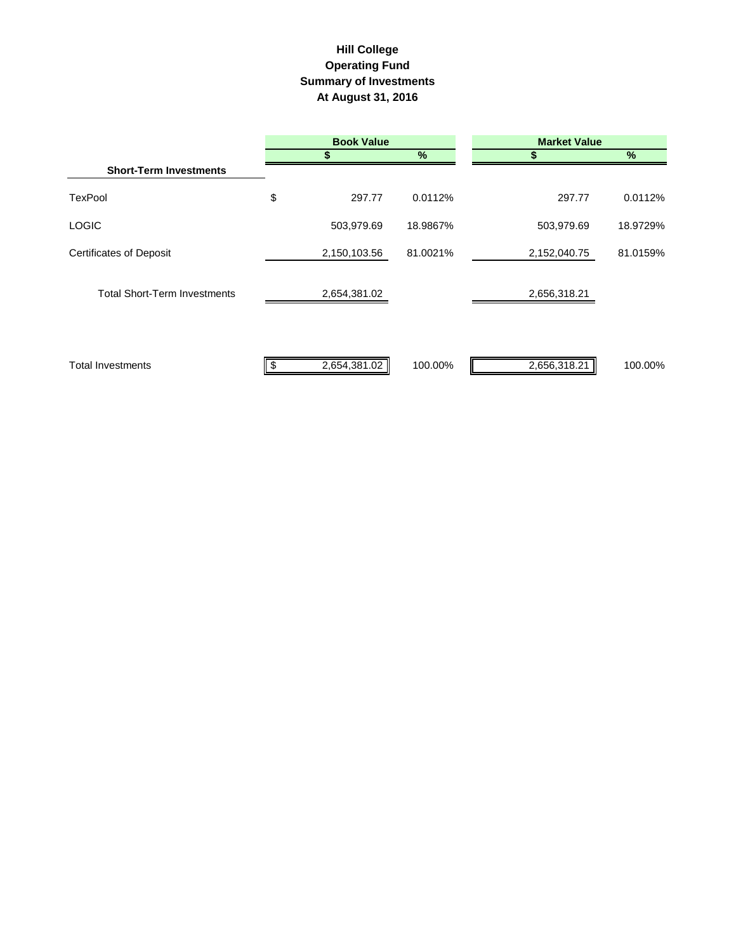## **Hill College Operating Fund Summary of Investments At August 31, 2016**

|                                     | <b>Book Value</b> |          | <b>Market Value</b> |          |  |  |
|-------------------------------------|-------------------|----------|---------------------|----------|--|--|
|                                     |                   | %        |                     | %        |  |  |
| <b>Short-Term Investments</b>       |                   |          |                     |          |  |  |
| <b>TexPool</b>                      | \$<br>297.77      | 0.0112%  | 297.77              | 0.0112%  |  |  |
| <b>LOGIC</b>                        | 503,979.69        | 18.9867% | 503,979.69          | 18.9729% |  |  |
| <b>Certificates of Deposit</b>      | 2,150,103.56      | 81.0021% | 2,152,040.75        | 81.0159% |  |  |
| <b>Total Short-Term Investments</b> | 2,654,381.02      |          | 2,656,318.21        |          |  |  |
| <b>Total Investments</b>            | 2,654,381.02      | 100.00%  | 2,656,318.21        | 100.00%  |  |  |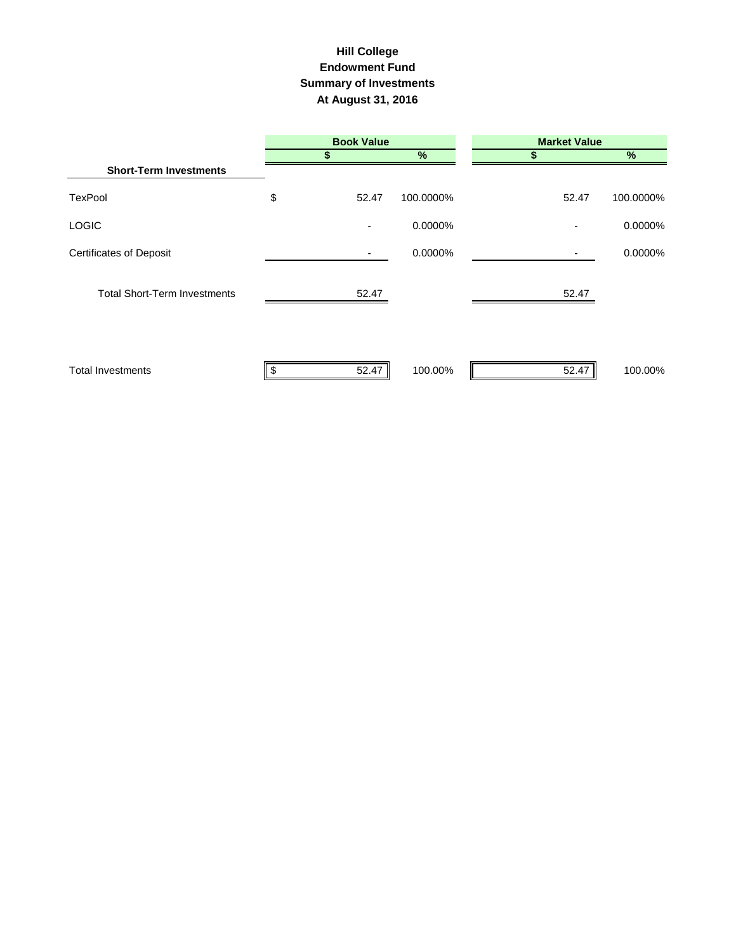#### **Hill College Endowment Fund Summary of Investments At August 31, 2016**

|                                     | <b>Book Value</b>        |           | <b>Market Value</b> |           |  |  |
|-------------------------------------|--------------------------|-----------|---------------------|-----------|--|--|
|                                     |                          | %         |                     | $\%$      |  |  |
| <b>Short-Term Investments</b>       |                          |           |                     |           |  |  |
| TexPool                             | \$<br>52.47              | 100.0000% | 52.47               | 100.0000% |  |  |
| LOGIC                               | $\overline{\phantom{a}}$ | 0.0000%   |                     | 0.0000%   |  |  |
| <b>Certificates of Deposit</b>      |                          | 0.0000%   | ٠                   | 0.0000%   |  |  |
| <b>Total Short-Term Investments</b> | 52.47                    |           | 52.47               |           |  |  |
| <b>Total Investments</b>            | 52.47                    | 100.00%   | 52.47               | 100.00%   |  |  |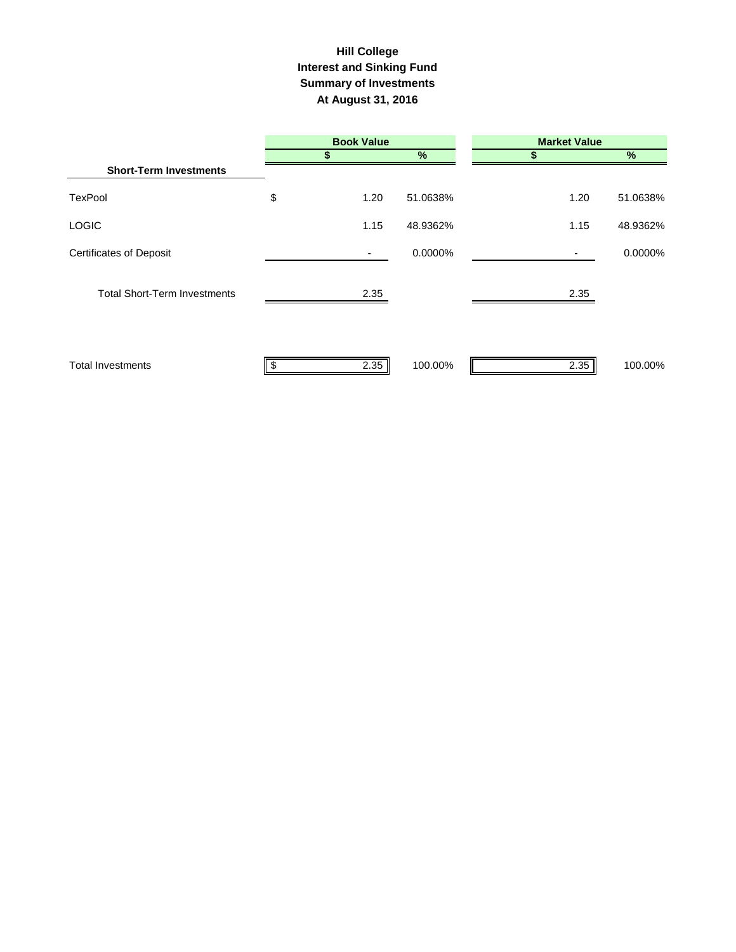#### **Interest and Sinking Fund Summary of Investments At August 31, 2016 Hill College**

|                                     | <b>Book Value</b> |      |          | <b>Market Value</b> |          |  |  |
|-------------------------------------|-------------------|------|----------|---------------------|----------|--|--|
|                                     |                   | S    | $\%$     | S                   | $\%$     |  |  |
| <b>Short-Term Investments</b>       |                   |      |          |                     |          |  |  |
| TexPool                             | \$                | 1.20 | 51.0638% | 1.20                | 51.0638% |  |  |
| <b>LOGIC</b>                        |                   | 1.15 | 48.9362% | 1.15                | 48.9362% |  |  |
| <b>Certificates of Deposit</b>      |                   |      | 0.0000%  | ۰.                  | 0.0000%  |  |  |
| <b>Total Short-Term Investments</b> |                   | 2.35 |          | 2.35                |          |  |  |
| <b>Total Investments</b>            |                   | 2.35 | 100.00%  | 2.35                | 100.00%  |  |  |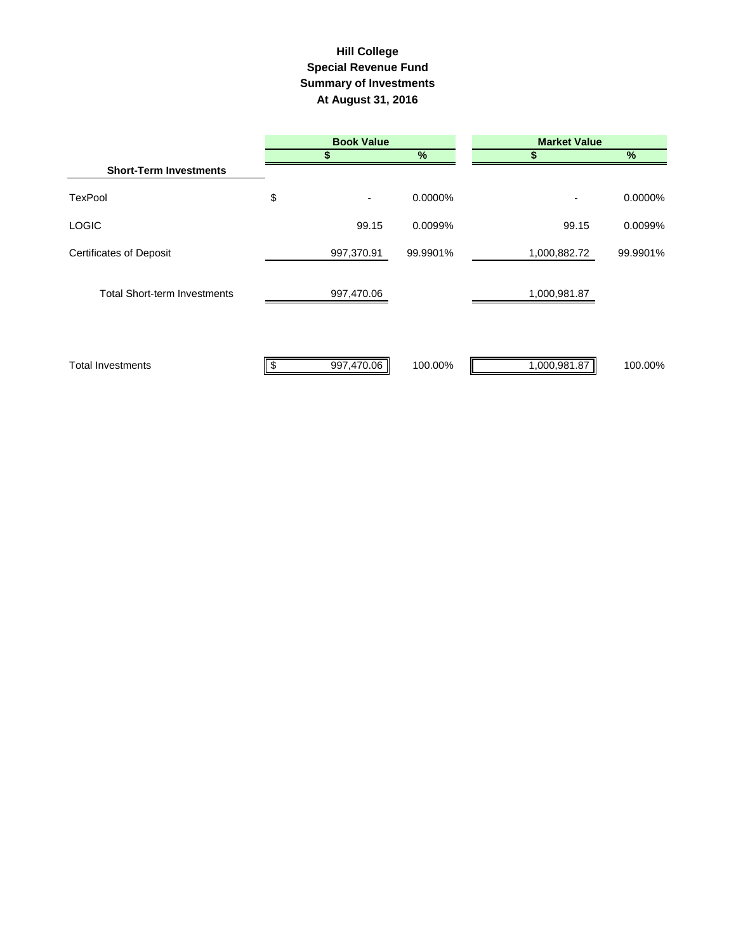## **Summary of Investments At August 31, 2016 Special Revenue Fund Hill College**

|                                     | <b>Book Value</b> |            |          | <b>Market Value</b> |          |  |  |
|-------------------------------------|-------------------|------------|----------|---------------------|----------|--|--|
|                                     |                   |            | %        |                     | $\%$     |  |  |
| <b>Short-Term Investments</b>       |                   |            |          |                     |          |  |  |
| <b>TexPool</b>                      | \$                |            | 0.0000%  |                     | 0.0000%  |  |  |
| <b>LOGIC</b>                        |                   | 99.15      | 0.0099%  | 99.15               | 0.0099%  |  |  |
| <b>Certificates of Deposit</b>      |                   | 997,370.91 | 99.9901% | 1,000,882.72        | 99.9901% |  |  |
| <b>Total Short-term Investments</b> |                   | 997,470.06 |          | 1,000,981.87        |          |  |  |
| <b>Total Investments</b>            |                   | 997,470.06 | 100.00%  | 1,000,981.87        | 100.00%  |  |  |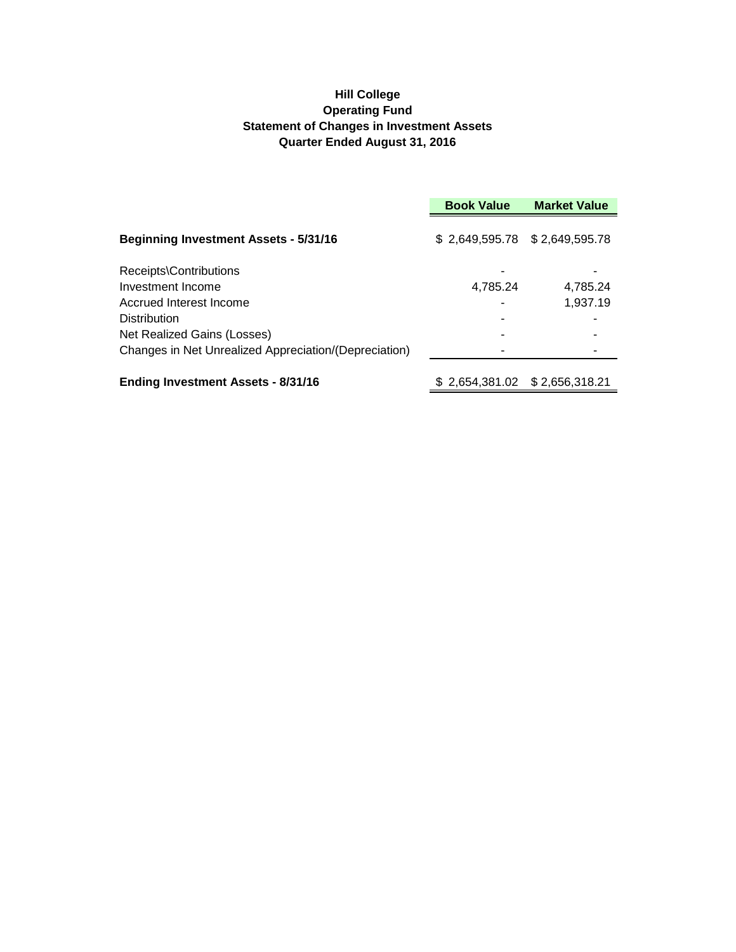#### **Hill College Operating Fund Statement of Changes in Investment Assets Quarter Ended August 31, 2016**

|                                                       | <b>Book Value</b>             | <b>Market Value</b> |
|-------------------------------------------------------|-------------------------------|---------------------|
| <b>Beginning Investment Assets - 5/31/16</b>          | \$2,649,595.78 \$2,649,595.78 |                     |
| Receipts\Contributions                                |                               |                     |
| Investment Income                                     | 4,785.24                      | 4.785.24            |
| Accrued Interest Income                               |                               | 1,937.19            |
| <b>Distribution</b>                                   |                               |                     |
| Net Realized Gains (Losses)                           |                               |                     |
| Changes in Net Unrealized Appreciation/(Depreciation) |                               |                     |
| <b>Ending Investment Assets - 8/31/16</b>             |                               |                     |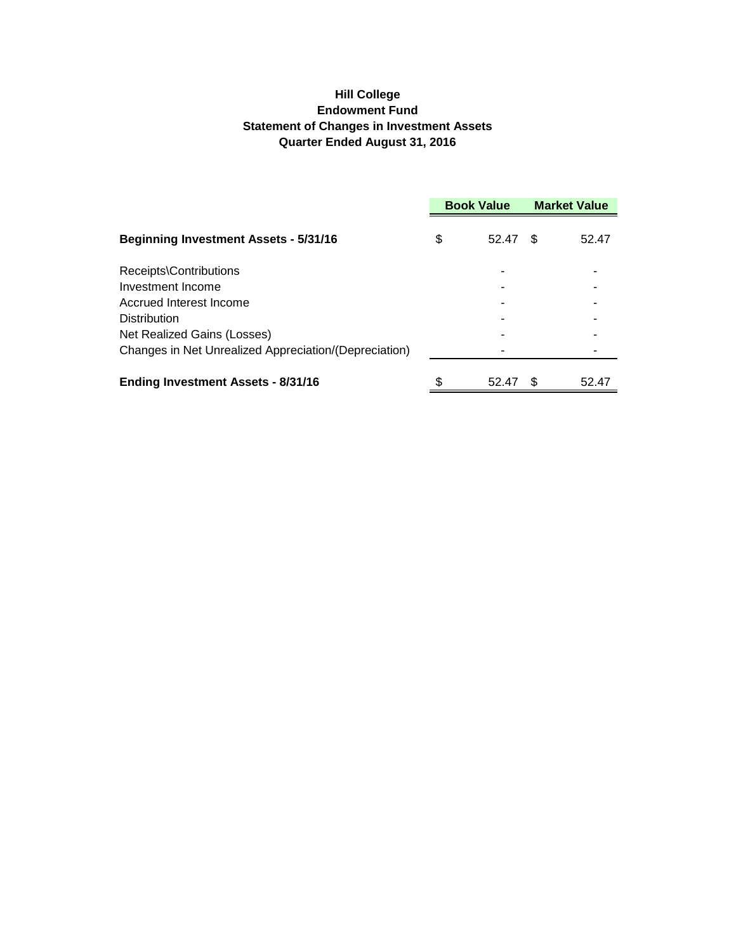## **Hill College Endowment Fund Statement of Changes in Investment Assets Quarter Ended August 31, 2016**

|                                                       | <b>Book Value</b> |       | <b>Market Value</b> |       |
|-------------------------------------------------------|-------------------|-------|---------------------|-------|
| <b>Beginning Investment Assets - 5/31/16</b>          | S                 | 52.47 | \$.                 | 52.47 |
| Receipts\Contributions                                |                   |       |                     |       |
| Investment Income                                     |                   |       |                     |       |
| Accrued Interest Income                               |                   |       |                     |       |
| Distribution                                          |                   |       |                     |       |
| Net Realized Gains (Losses)                           |                   |       |                     |       |
| Changes in Net Unrealized Appreciation/(Depreciation) |                   |       |                     |       |
| <b>Ending Investment Assets - 8/31/16</b>             | \$                | 52.47 | \$.                 | 52.47 |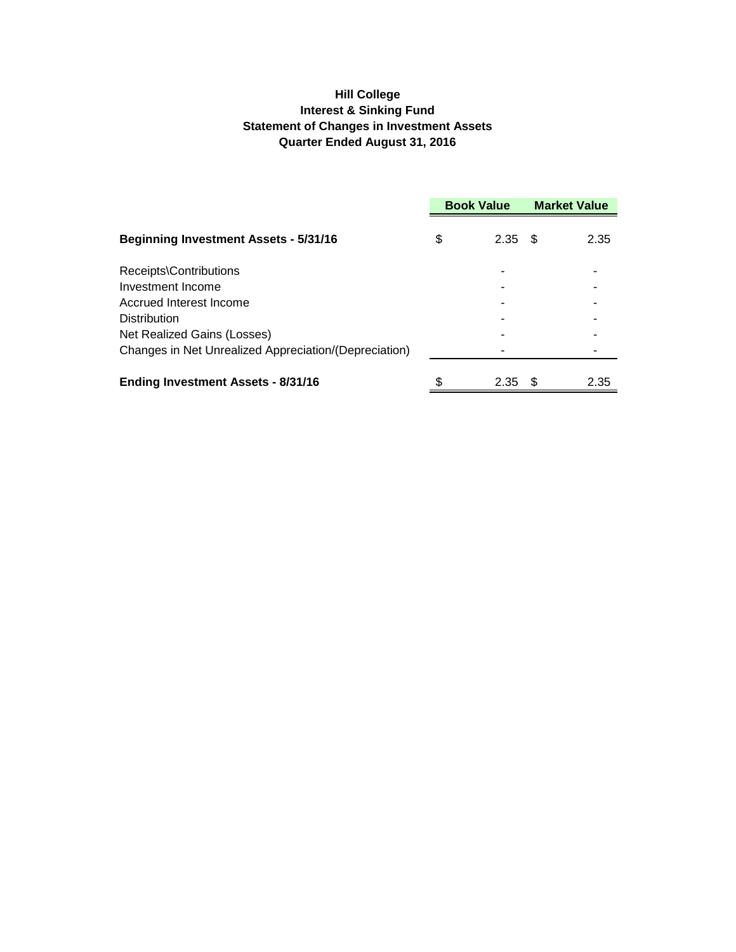## **Hill College Interest & Sinking Fund Statement of Changes in Investment Assets Quarter Ended August 31, 2016**

|                                                       | <b>Book Value</b> |      | <b>Market Value</b> |      |
|-------------------------------------------------------|-------------------|------|---------------------|------|
| <b>Beginning Investment Assets - 5/31/16</b>          | \$                | 2.35 | - S                 | 2.35 |
| Receipts\Contributions                                |                   |      |                     |      |
| Investment Income                                     |                   |      |                     |      |
| Accrued Interest Income                               |                   |      |                     |      |
| <b>Distribution</b>                                   |                   |      |                     |      |
| Net Realized Gains (Losses)                           |                   |      |                     |      |
| Changes in Net Unrealized Appreciation/(Depreciation) |                   |      |                     |      |
| <b>Ending Investment Assets - 8/31/16</b>             | \$                | 2.35 | - \$                | 2.35 |